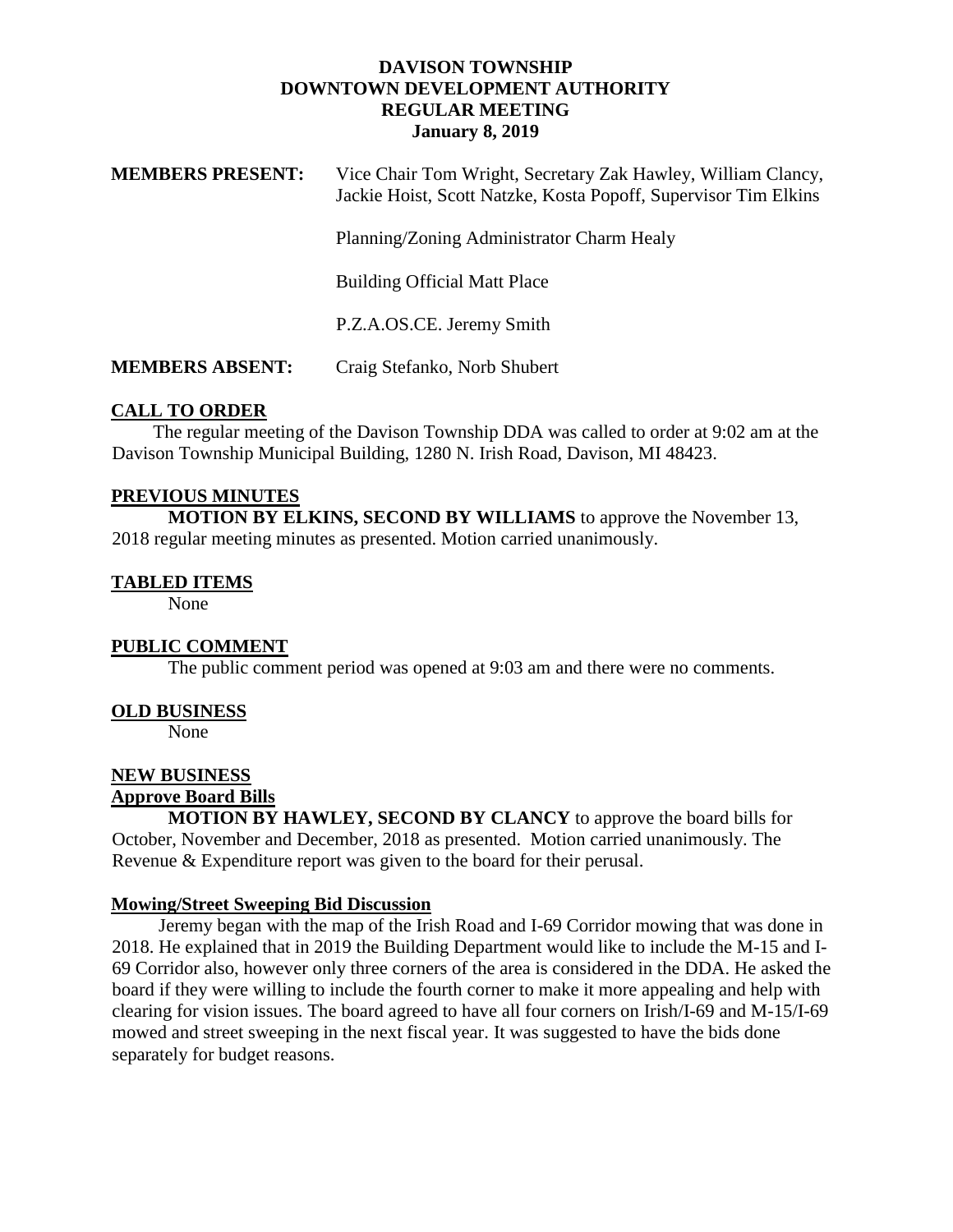## **DAVISON TOWNSHIP DOWNTOWN DEVELOPMENT AUTHORITY REGULAR MEETING January 8, 2019**

| <b>MEMBERS PRESENT:</b> | Vice Chair Tom Wright, Secretary Zak Hawley, William Clancy,    |
|-------------------------|-----------------------------------------------------------------|
|                         | Jackie Hoist, Scott Natzke, Kosta Popoff, Supervisor Tim Elkins |

Planning/Zoning Administrator Charm Healy

Building Official Matt Place

P.Z.A.OS.CE. Jeremy Smith

**MEMBERS ABSENT:** Craig Stefanko, Norb Shubert

## **CALL TO ORDER**

 The regular meeting of the Davison Township DDA was called to order at 9:02 am at the Davison Township Municipal Building, 1280 N. Irish Road, Davison, MI 48423.

#### **PREVIOUS MINUTES**

**MOTION BY ELKINS, SECOND BY WILLIAMS** to approve the November 13, 2018 regular meeting minutes as presented. Motion carried unanimously.

#### **TABLED ITEMS**

None

## **PUBLIC COMMENT**

The public comment period was opened at 9:03 am and there were no comments.

#### **OLD BUSINESS**

None

#### **NEW BUSINESS Approve Board Bills**

**MOTION BY HAWLEY, SECOND BY CLANCY** to approve the board bills for October, November and December, 2018 as presented. Motion carried unanimously. The Revenue & Expenditure report was given to the board for their perusal.

## **Mowing/Street Sweeping Bid Discussion**

 Jeremy began with the map of the Irish Road and I-69 Corridor mowing that was done in 2018. He explained that in 2019 the Building Department would like to include the M-15 and I-69 Corridor also, however only three corners of the area is considered in the DDA. He asked the board if they were willing to include the fourth corner to make it more appealing and help with clearing for vision issues. The board agreed to have all four corners on Irish/I-69 and M-15/I-69 mowed and street sweeping in the next fiscal year. It was suggested to have the bids done separately for budget reasons.